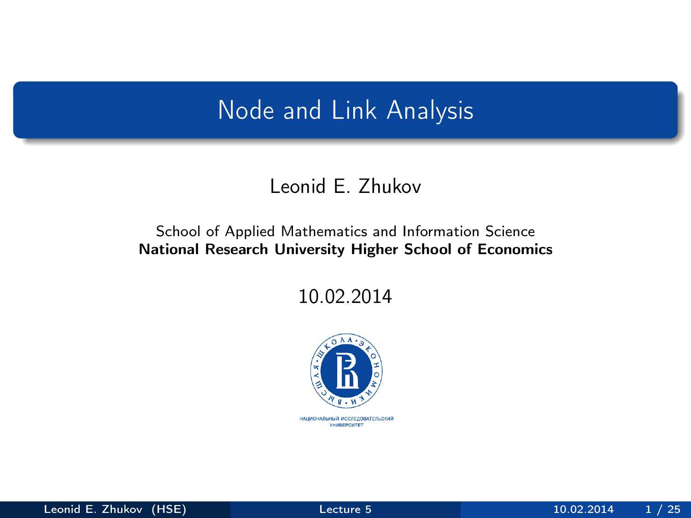# <span id="page-0-0"></span>Node and Link Analysis

#### Leonid E. Zhukov

#### School of Applied Mathematics and Information Science National Research University Higher School of Economics

10.02.2014

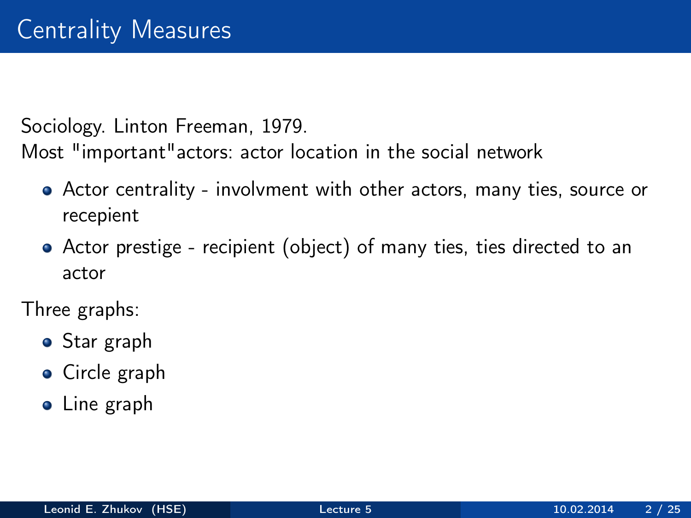Sociology. Linton Freeman, 1979.

Most "important"actors: actor location in the social network

- Actor centrality involvment with other actors, many ties, source or recepient
- Actor prestige recipient (object) of many ties, ties directed to an actor

Three graphs:

- Star graph
- **•** Circle graph
- Line graph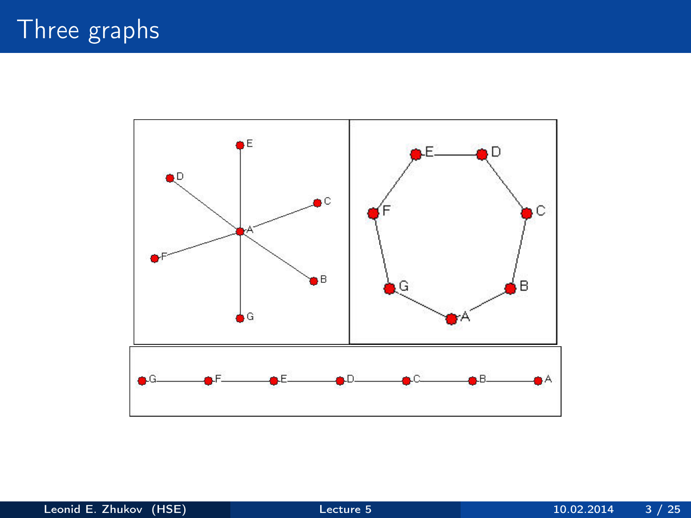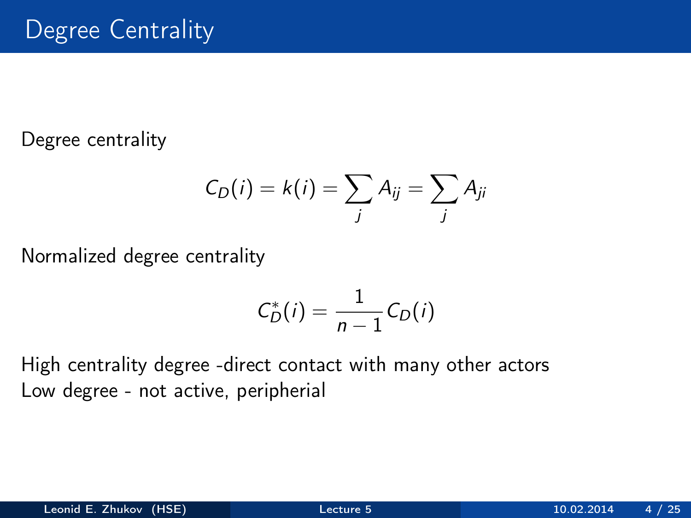Degree centrality

$$
C_D(i) = k(i) = \sum_j A_{ij} = \sum_j A_{ji}
$$

Normalized degree centrality

$$
C_D^*(i) = \frac{1}{n-1}C_D(i)
$$

High centrality degree -direct contact with many other actors Low degree - not active, peripherial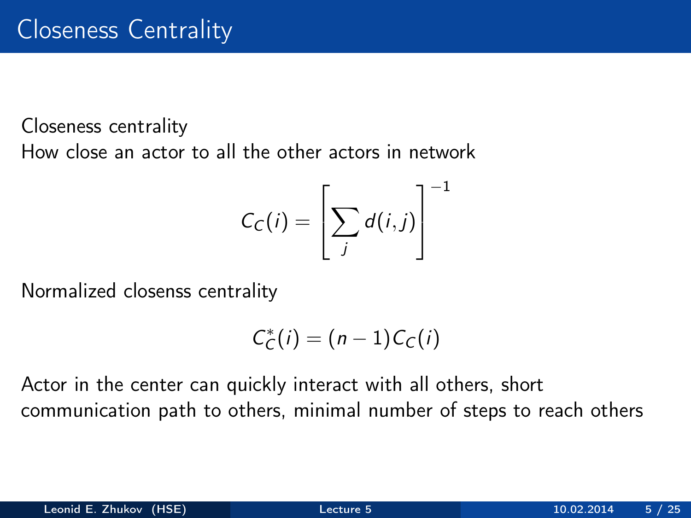Closeness centrality How close an actor to all the other actors in network

$$
C_C(i) = \left[\sum_j d(i,j)\right]^{-1}
$$

Normalized closenss centrality

$$
C_C^*(i) = (n-1)C_C(i)
$$

Actor in the center can quickly interact with all others, short communication path to others, minimal number of steps to reach others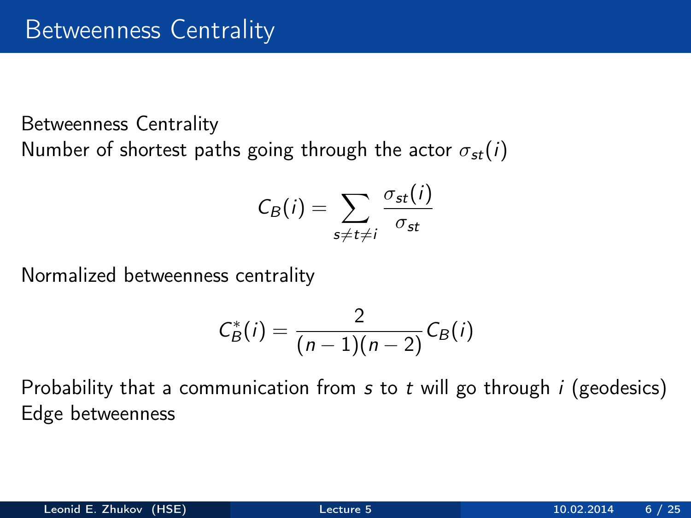Betweenness Centrality Number of shortest paths going through the actor  $\sigma_{st}(i)$ 

$$
C_B(i) = \sum_{s \neq t \neq i} \frac{\sigma_{st}(i)}{\sigma_{st}}
$$

Normalized betweenness centrality

$$
C_B^*(i)=\frac{2}{(n-1)(n-2)}C_B(i)
$$

Probability that a communication from  $s$  to  $t$  will go through  $i$  (geodesics) Edge betweenness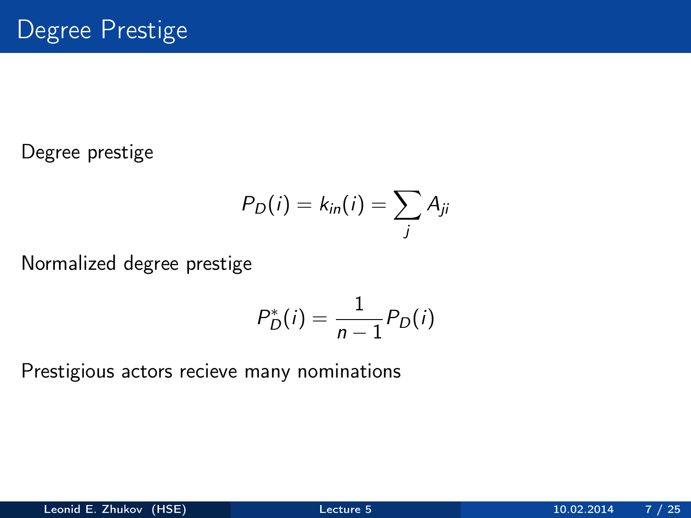Degree prestige

$$
P_D(i) = k_{in}(i) = \sum_j A_{ji}
$$

Normalized degree prestige

$$
P_D^*(i) = \frac{1}{n-1} P_D(i)
$$

Prestigious actors recieve many nominations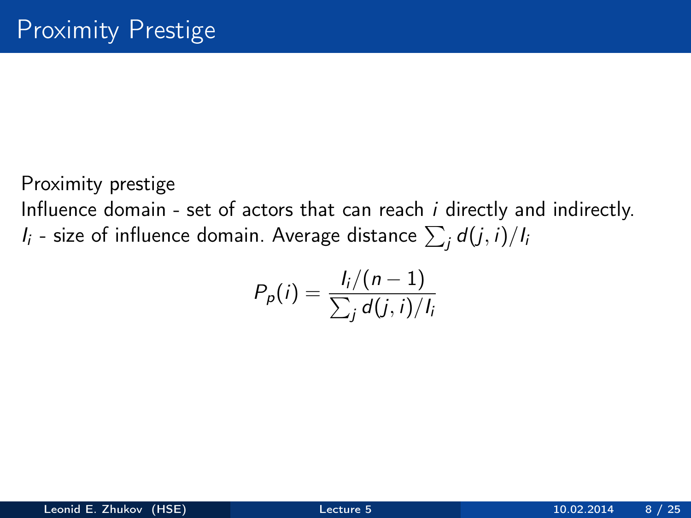Proximity prestige

Influence domain - set of actors that can reach i directly and indirectly.  $I_i$  - size of influence domain. Average distance  $\sum_j d(j,i)/I_i$ 

$$
P_p(i) = \frac{I_i/(n-1)}{\sum_j d(j,i)/I_i}
$$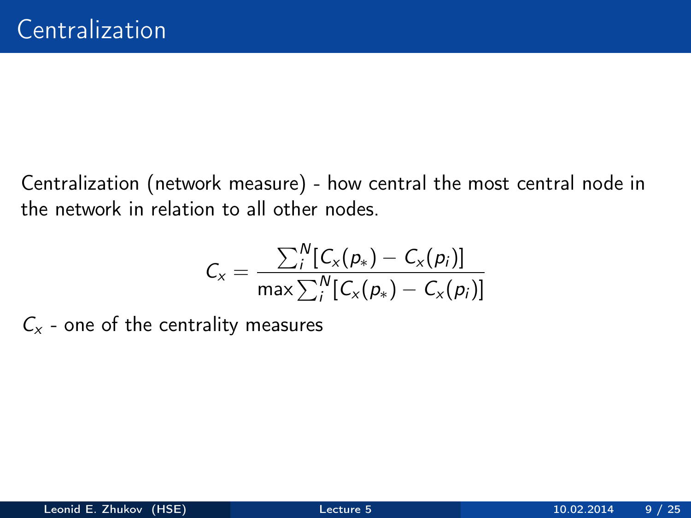Centralization (network measure) - how central the most central node in the network in relation to all other nodes.

$$
C_x = \frac{\sum_{i}^{N} [C_x(p_*) - C_x(p_i)]}{\max \sum_{i}^{N} [C_x(p_*) - C_x(p_i)]}
$$

 $C_x$  - one of the centrality measures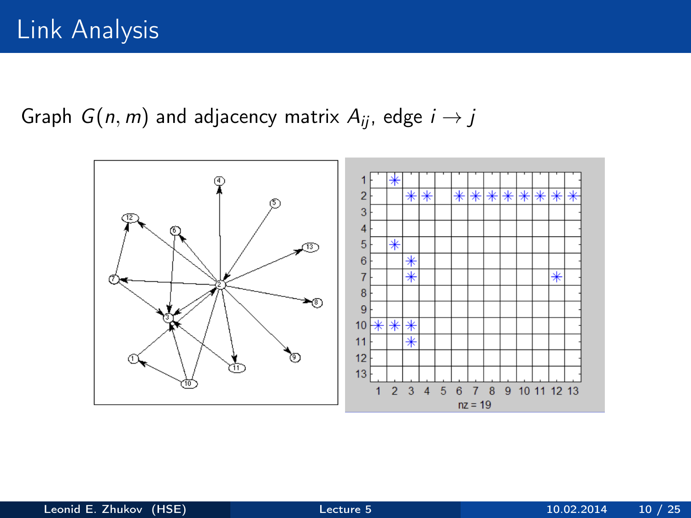Graph  $G(n, m)$  and adjacency matrix  $A_{ii}$ , edge  $i \rightarrow j$ 

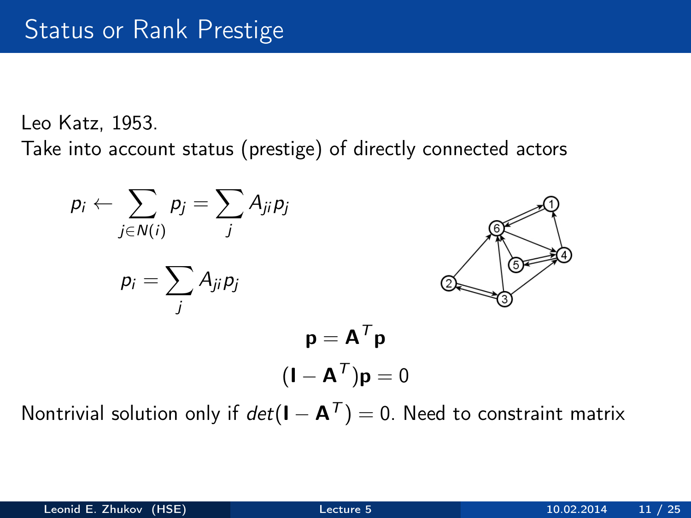Leo Katz, 1953.

Take into account status (prestige) of directly connected actors



Nontrivial solution only if  $det(I - A^T) = 0$ . Need to constraint matrix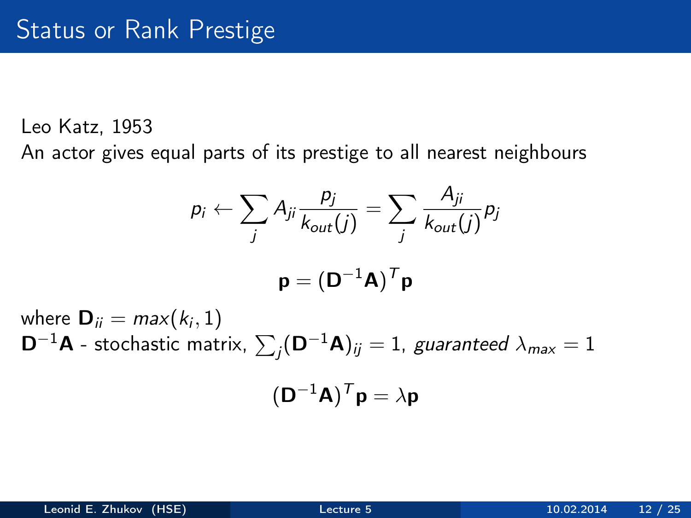Leo Katz, 1953

An actor gives equal parts of its prestige to all nearest neighbours

$$
p_i \leftarrow \sum_j A_{ji} \frac{p_j}{k_{out}(j)} = \sum_j \frac{A_{ji}}{k_{out}(j)} p_j
$$

$$
\mathbf{p} = (\mathbf{D}^{-1} \mathbf{A})^T \mathbf{p}
$$

where  $\mathbf{D}_{ii} = max(k_i, 1)$  $\mathsf{D}^{-1}\mathsf{A}$  - stochastic matrix,  $\sum_j (\mathsf{D}^{-1}\mathsf{A})_{ij} = 1$ , guaranteed  $\lambda_{\sf max} = 1$ 

$$
(\mathbf{D}^{-1}\mathbf{A})^T\mathbf{p} = \lambda \mathbf{p}
$$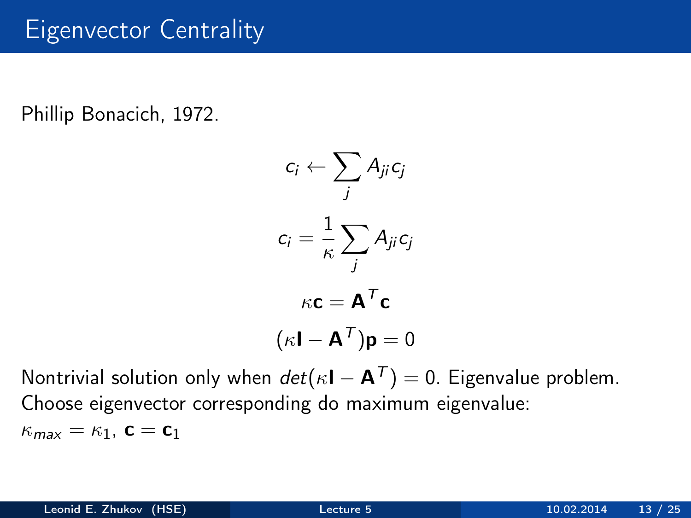### Eigenvector Centrality

Phillip Bonacich, 1972.

$$
c_i \leftarrow \sum_j A_{ji} c_j
$$

$$
c_i = \frac{1}{\kappa} \sum_j A_{ji} c_j
$$

$$
\kappa \mathbf{c} = \mathbf{A}^T \mathbf{c}
$$

$$
(\kappa \mathbf{I} - \mathbf{A}^T) \mathbf{p} = 0
$$

Nontrivial solution only when  $det(\kappa I - A^T) = 0$ . Eigenvalue problem. Choose eigenvector corresponding do maximum eigenvalue:  $\kappa_{\text{max}} = \kappa_1$ ,  $\mathbf{c} = \mathbf{c}_1$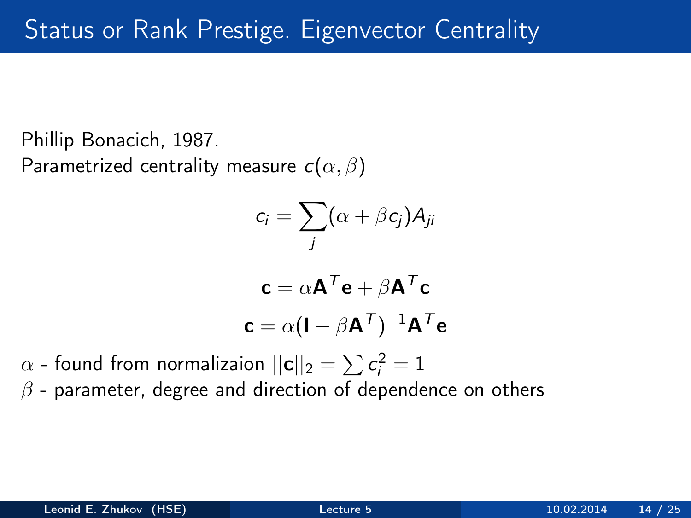Phillip Bonacich, 1987. Parametrized centrality measure  $c(\alpha, \beta)$ 

$$
c_i = \sum_j (\alpha + \beta c_j) A_{ji}
$$

$$
\mathbf{c} = \alpha \mathbf{A}^T \mathbf{e} + \beta \mathbf{A}^T \mathbf{c}
$$

$$
\mathbf{c} = \alpha (\mathbf{I} - \beta \mathbf{A}^T)^{-1} \mathbf{A}^T \mathbf{e}
$$

 $\alpha$  - found from normalizaion  $||\mathbf{c}||_2 = \sum \mathbf{c_i^2} = 1$ 

 $\beta$  - parameter, degree and direction of dependence on others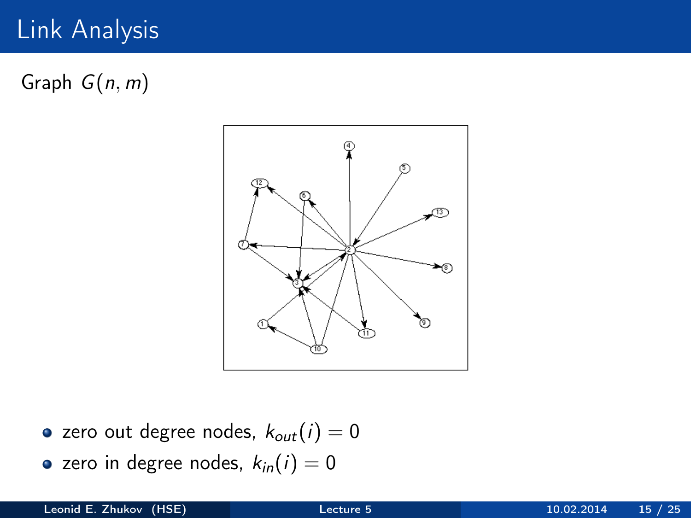# Link Analysis

Graph  $G(n, m)$ 



- zero out degree nodes,  $k_{out}(i) = 0$
- zero in degree nodes,  $k_{in}(i) = 0$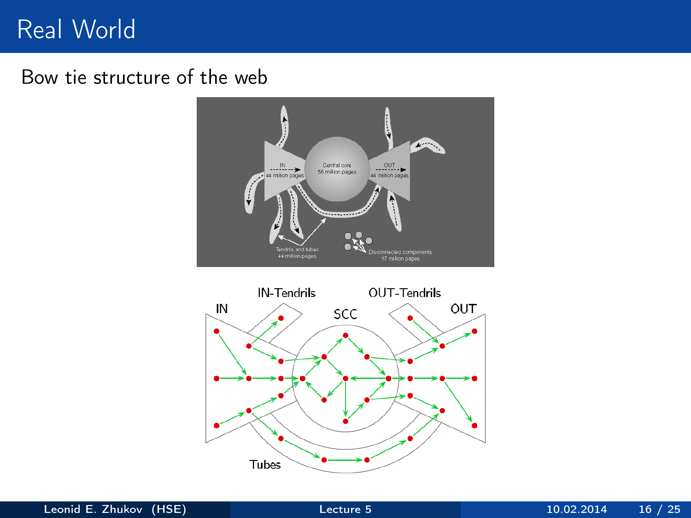### Real World

#### Bow tie structure of the web



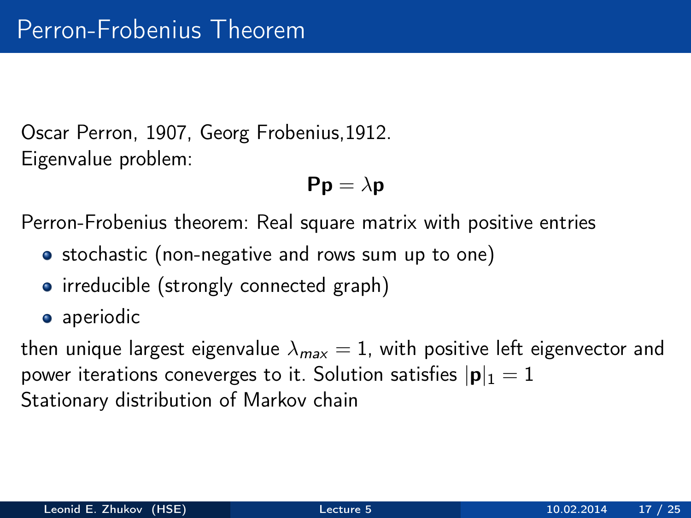Oscar Perron, 1907, Georg Frobenius,1912. Eigenvalue problem:

$$
\text{Pp}=\lambda\text{p}
$$

Perron-Frobenius theorem: Real square matrix with positive entries

- stochastic (non-negative and rows sum up to one)
- irreducible (strongly connected graph)
- aperiodic

then unique largest eigenvalue  $\lambda_{max} = 1$ , with positive left eigenvector and power iterations coneverges to it. Solution satisfies  $|\mathbf{p}|_1 = 1$ Stationary distribution of Markov chain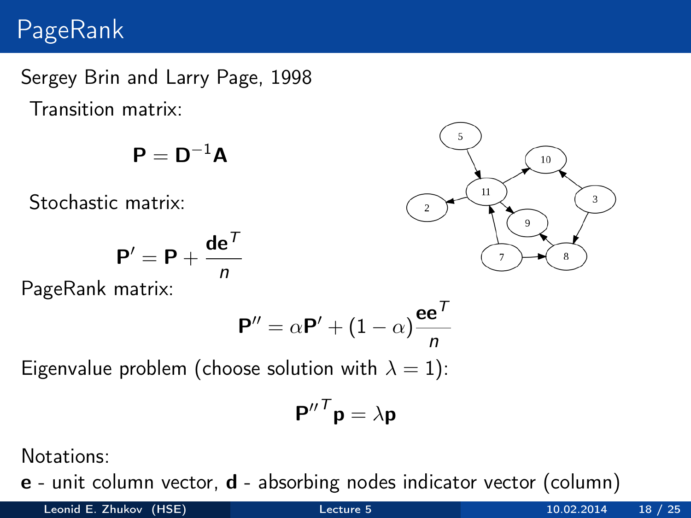## PageRank

Sergey Brin and Larry Page, 1998 Transition matrix:

$$
\bm{P} = \bm{D}^{-1}\bm{A}
$$

Stochastic matrix:

$$
\mathbf{P}' = \mathbf{P} + \frac{\mathbf{de}^T}{n}
$$

PageRank matrix:

$$
\mathbf{P}'' = \alpha \mathbf{P}' + (1 - \alpha) \frac{\mathbf{e} \mathbf{e}^T}{n}
$$

Eigenvalue problem (choose solution with  $\lambda = 1$ ):

$$
\mathbf{P''}^T \mathbf{p} = \lambda \mathbf{p}
$$

Notations:

e - unit column vector, d - absorbing nodes indicator vector (column)

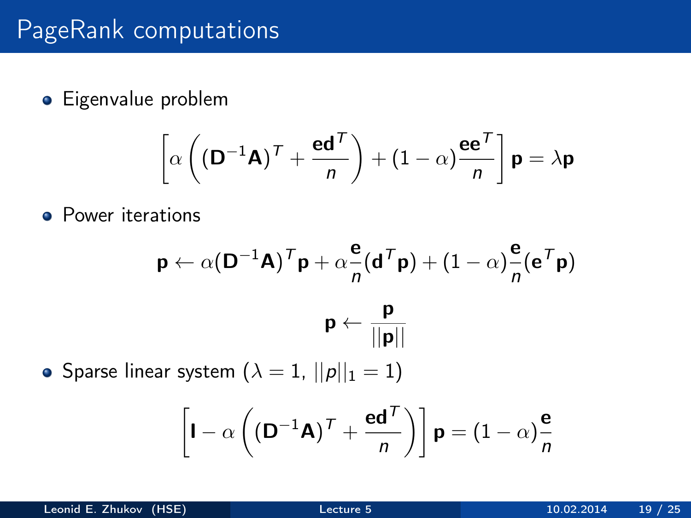# PageRank computations

**•** Eigenvalue problem

$$
\left[\alpha \left( \left(\mathbf{D}^{-1}\mathbf{A}\right)^{\mathsf{T}} + \frac{\mathbf{e}\mathbf{d}^{\mathsf{T}}}{n} \right) + \left(1 - \alpha\right)\frac{\mathbf{e}\mathbf{e}^{\mathsf{T}}}{n}\right] \mathbf{p} = \lambda \mathbf{p}
$$

**•** Power iterations

$$
\mathbf{p} \leftarrow \alpha (\mathbf{D}^{-1} \mathbf{A})^T \mathbf{p} + \alpha \frac{\mathbf{e}}{n} (\mathbf{d}^T \mathbf{p}) + (1 - \alpha) \frac{\mathbf{e}}{n} (\mathbf{e}^T \mathbf{p})
$$

$$
\mathbf{p} \leftarrow \frac{\mathbf{p}}{||\mathbf{p}||}
$$

• Sparse linear system  $(\lambda = 1, ||p||_1 = 1)$ 

$$
\left[\mathbf{I} - \alpha \left( (\mathbf{D}^{-1}\mathbf{A})^{\mathsf{T}} + \frac{\mathbf{e}\mathbf{d}^{\mathsf{T}}}{n} \right) \right] \mathbf{p} = (1 - \alpha)\frac{\mathbf{e}}{n}
$$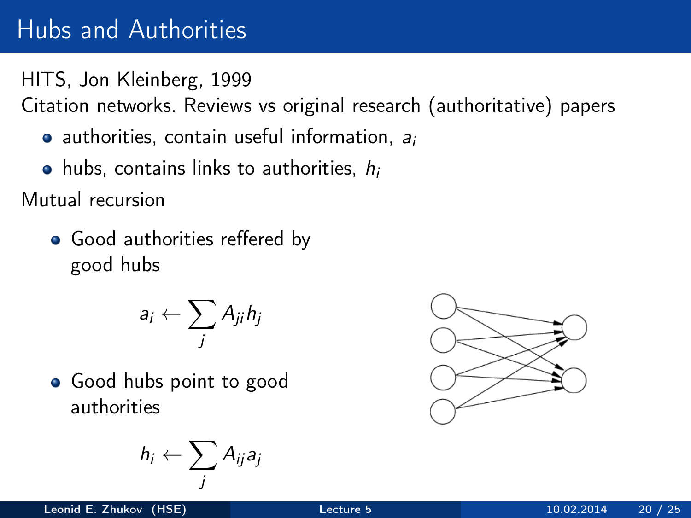# Hubs and Authorities

HITS, Jon Kleinberg, 1999

Citation networks. Reviews vs original research (authoritative) papers

- $\bullet$  authorities, contain useful information,  $a_i$
- $\bullet$  hubs, contains links to authorities,  $h_i$

Mutual recursion

• Good authorities reffered by good hubs

$$
a_i \leftarrow \sum_j A_{ji} h_j
$$

• Good hubs point to good authorities

$$
h_i \leftarrow \sum_j A_{ij} a_j
$$

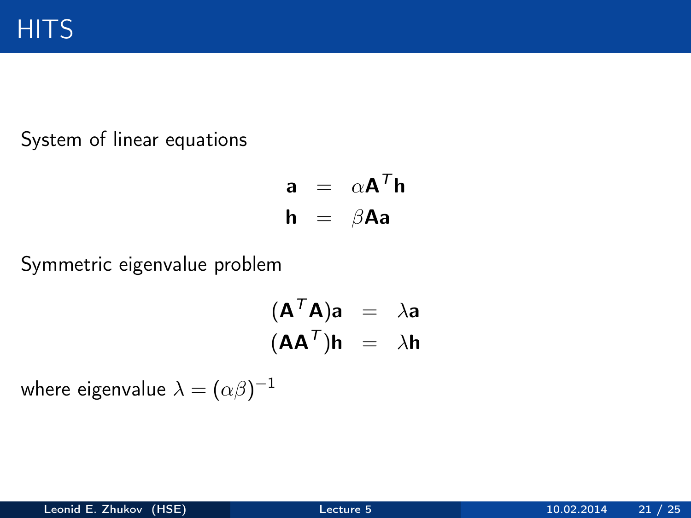System of linear equations

$$
\begin{array}{rcl}\n\mathbf{a} & = & \alpha \mathbf{A}^T \mathbf{h} \\
\mathbf{h} & = & \beta \mathbf{A} \mathbf{a}\n\end{array}
$$

Symmetric eigenvalue problem

$$
(\mathbf{A}^T \mathbf{A})\mathbf{a} = \lambda \mathbf{a}
$$

$$
(\mathbf{A} \mathbf{A}^T)\mathbf{h} = \lambda \mathbf{h}
$$

where eigenvalue  $\lambda=(\alpha\beta)^{-1}$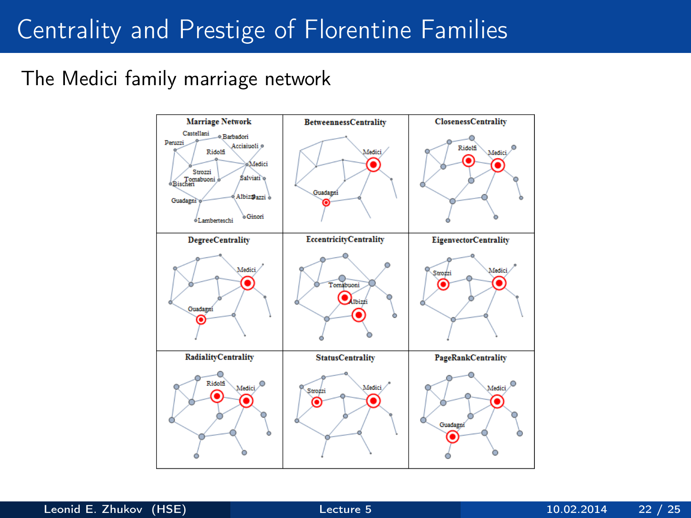# Centrality and Prestige of Florentine Families

#### The Medici family marriage network

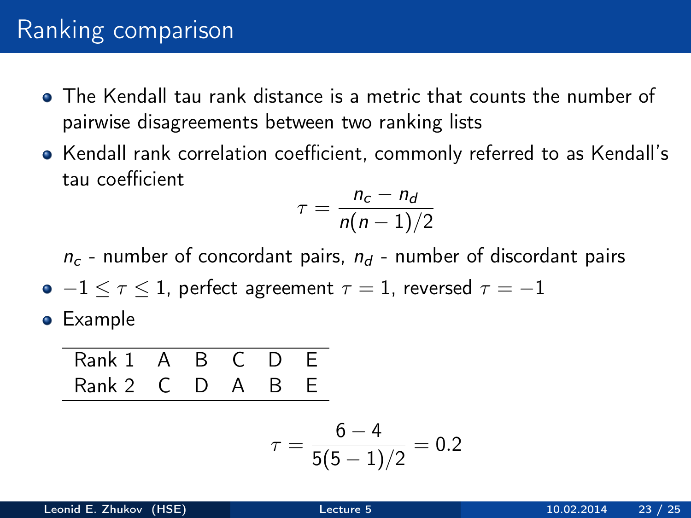### Ranking comparison

- The Kendall tau rank distance is a metric that counts the number of pairwise disagreements between two ranking lists
- Kendall rank correlation coefficient, commonly referred to as Kendall's tau coefficient

$$
\tau = \frac{n_c - n_d}{n(n-1)/2}
$$

 $n_c$  - number of concordant pairs,  $n_d$  - number of discordant pairs

- $\bullet$  -1  $\leq$   $\tau$   $\leq$  1, perfect agreement  $\tau$  = 1, reversed  $\tau$  = -1
- **•** Example

Rank 1 A B C D E Rank 2 C D A B E

$$
\tau = \frac{6-4}{5(5-1)/2} = 0.2
$$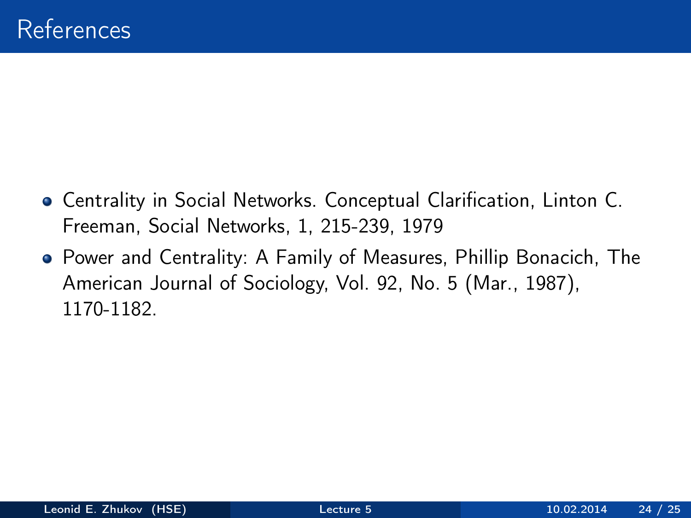- Centrality in Social Networks. Conceptual Clarification, Linton C. Freeman, Social Networks, 1, 215-239, 1979
- Power and Centrality: A Family of Measures, Phillip Bonacich, The American Journal of Sociology, Vol. 92, No. 5 (Mar., 1987), 1170-1182.